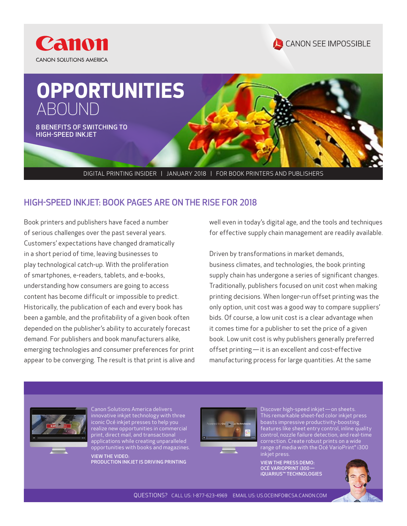





DIGITAL PRINTING INSIDER | JANUARY 2018 | FOR BOOK PRINTERS AND PUBLISHERS

## HIGH-SPEED INKJET: BOOK PAGES ARE ON THE RISE FOR 2018

Book printers and publishers have faced a number of serious challenges over the past several years. Customers' expectations have changed dramatically in a short period of time, leaving businesses to play technological catch-up. With the proliferation of smartphones, e-readers, tablets, and e-books, understanding how consumers are going to access content has become difficult or impossible to predict. Historically, the publication of each and every book has been a gamble, and the profitability of a given book often depended on the publisher's ability to accurately forecast demand. For publishers and book manufacturers alike, emerging technologies and consumer preferences for print appear to be converging. The result is that print is alive and well even in today's digital age, and the tools and techniques for effective supply chain management are readily available.

Driven by transformations in market demands, business climates, and technologies, the book printing supply chain has undergone a series of significant changes. Traditionally, publishers focused on unit cost when making printing decisions. When longer-run offset printing was the only option, unit cost was a good way to compare suppliers' bids. Of course, a low unit cost is a clear advantage when it comes time for a publisher to set the price of a given book. Low unit cost is why publishers generally preferred offset printing — it is an excellent and cost-effective manufacturing process for large quantities. At the same



Canon Solutions America delivers innovative inkjet technology with three iconic Océ inkjet presses to help you realize new opportunities in commercial print, direct mail, and transactional applications while creating unparalleled opportunities with books and magazines.

VIEW THE VIDEO: PRODUCTION INKJET IS DRIVING PRINTING



boasts impressive productivity-boosting features like sheet entry control, inline quality control, nozzle failure detection, and real-time correction. Create robust prints on a wide range of media with the Océ VarioPrint® i300 inkjet press.

Discover high-speed inkjet — on sheets. This remarkable sheet-fed color inkjet press

VIEW THE PRESS DEMO: OCÉ VARIOPRINT i300· iQUARIUS™ TECHNOLOGIES

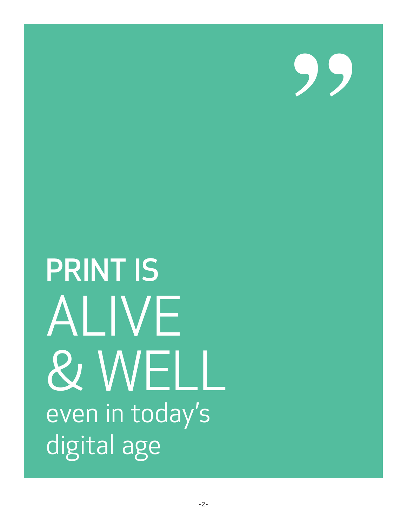95

**PRINT IS** ALIVE **& WELL** even in today's digital age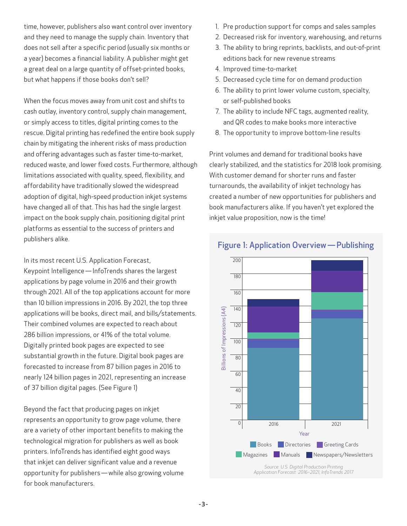time, however, publishers also want control over inventory and they need to manage the supply chain. Inventory that does not sell after a specific period (usually six months or a year) becomes a financial liability. A publisher might get a great deal on a large quantity of offset-printed books, but what happens if those books don't sell?

When the focus moves away from unit cost and shifts to cash outlay, inventory control, supply chain management, or simply access to titles, digital printing comes to the rescue. Digital printing has redefined the entire book supply chain by mitigating the inherent risks of mass production and offering advantages such as faster time-to-market, reduced waste, and lower fixed costs. Furthermore, although limitations associated with quality, speed, flexibility, and affordability have traditionally slowed the widespread adoption of digital, high-speed production inkjet systems have changed all of that. This has had the single largest impact on the book supply chain, positioning digital print platforms as essential to the success of printers and publishers alike.

In its most recent U.S. Application Forecast, Keypoint Intelligence — InfoTrends shares the largest applications by page volume in 2016 and their growth through 2021. All of the top applications account for more than 10 billion impressions in 2016. By 2021, the top three applications will be books, direct mail, and bills/statements. Their combined volumes are expected to reach about 286 billion impressions, or 41% of the total volume. Digitally printed book pages are expected to see substantial growth in the future. Digital book pages are forecasted to increase from 87 billion pages in 2016 to nearly 124 billion pages in 2021, representing an increase of 37 billion digital pages. (See Figure 1)

Beyond the fact that producing pages on inkjet represents an opportunity to grow page volume, there are a variety of other important benefits to making the technological migration for publishers as well as book printers. InfoTrends has identified eight good ways that inkjet can deliver significant value and a revenue opportunity for publishers — while also growing volume for book manufacturers.

- 1. Pre production support for comps and sales samples
- 2. Decreased risk for inventory, warehousing, and returns
- 3. The ability to bring reprints, backlists, and out-of-print editions back for new revenue streams
- 4. Improved time-to-market
- 5. Decreased cycle time for on demand production
- 6. The ability to print lower volume custom, specialty, or self-published books
- 7. The ability to include NFC tags, augmented reality, and QR codes to make books more interactive
- 8. The opportunity to improve bottom-line results

Print volumes and demand for traditional books have clearly stabilized, and the statistics for 2018 look promising. With customer demand for shorter runs and faster turnarounds, the availability of inkjet technology has created a number of new opportunities for publishers and book manufacturers alike. If you haven't yet explored the inkjet value proposition, now is the time!



## Figure 1: Application Overview — Publishing